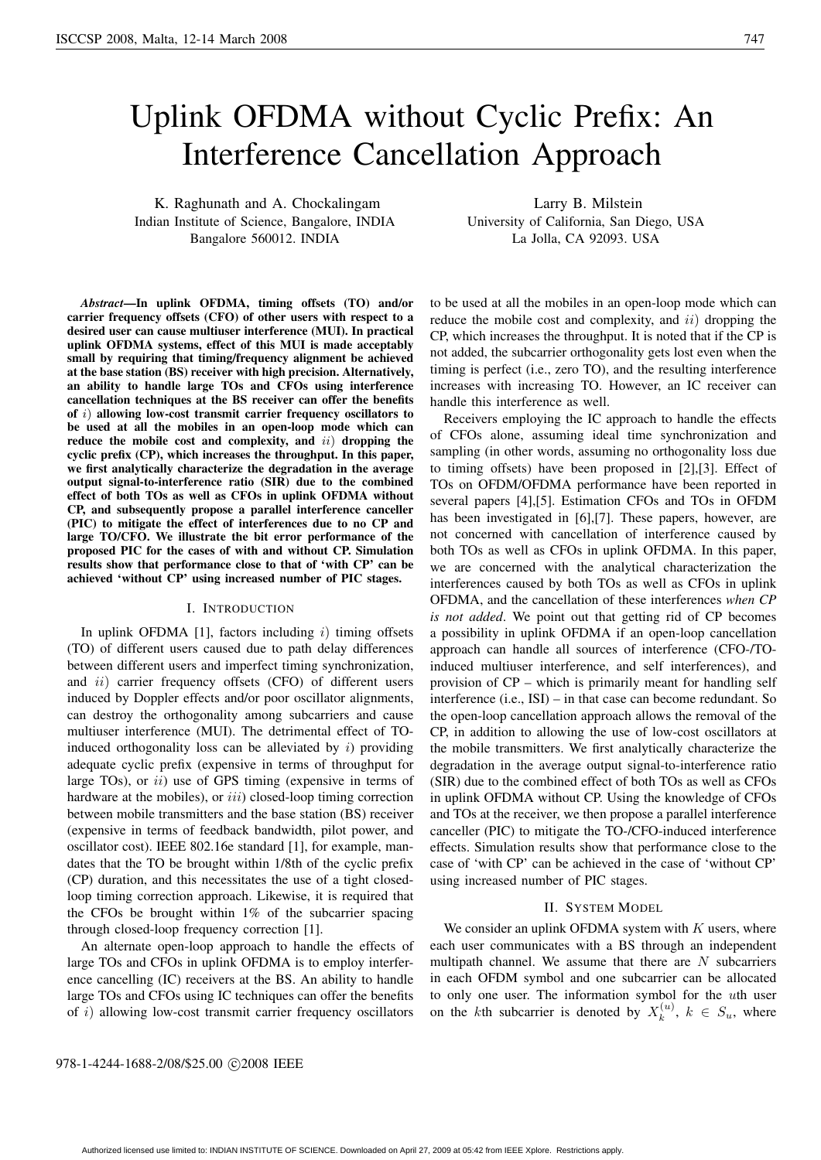# Uplink OFDMA without Cyclic Prefix: An Interference Cancellation Approach

K. Raghunath and A. Chockalingam Indian Institute of Science, Bangalore, INDIA Bangalore 560012. INDIA

Larry B. Milstein University of California, San Diego, USA La Jolla, CA 92093. USA

*Abstract***—In uplink OFDMA, timing offsets (TO) and/or carrier frequency offsets (CFO) of other users with respect to a desired user can cause multiuser interference (MUI). In practical uplink OFDMA systems, effect of this MUI is made acceptably small by requiring that timing/frequency alignment be achieved at the base station (BS) receiver with high precision. Alternatively, an ability to handle large TOs and CFOs using interference cancellation techniques at the BS receiver can offer the benefits of** i) **allowing low-cost transmit carrier frequency oscillators to be used at all the mobiles in an open-loop mode which can reduce the mobile cost and complexity, and** ii) **dropping the cyclic prefix (CP), which increases the throughput. In this paper, we first analytically characterize the degradation in the average output signal-to-interference ratio (SIR) due to the combined effect of both TOs as well as CFOs in uplink OFDMA without CP, and subsequently propose a parallel interference canceller (PIC) to mitigate the effect of interferences due to no CP and large TO/CFO. We illustrate the bit error performance of the proposed PIC for the cases of with and without CP. Simulation results show that performance close to that of 'with CP' can be achieved 'without CP' using increased number of PIC stages.**

## I. INTRODUCTION

In uplink OFDMA [1], factors including  $i$ ) timing offsets (TO) of different users caused due to path delay differences between different users and imperfect timing synchronization, and *ii*) carrier frequency offsets (CFO) of different users induced by Doppler effects and/or poor oscillator alignments, can destroy the orthogonality among subcarriers and cause multiuser interference (MUI). The detrimental effect of TOinduced orthogonality loss can be alleviated by  $i$ ) providing adequate cyclic prefix (expensive in terms of throughput for large TOs), or  $ii$ ) use of GPS timing (expensive in terms of hardware at the mobiles), or  $iii$ ) closed-loop timing correction between mobile transmitters and the base station (BS) receiver (expensive in terms of feedback bandwidth, pilot power, and oscillator cost). IEEE 802.16e standard [1], for example, mandates that the TO be brought within 1/8th of the cyclic prefix (CP) duration, and this necessitates the use of a tight closedloop timing correction approach. Likewise, it is required that the CFOs be brought within 1% of the subcarrier spacing through closed-loop frequency correction [1].

An alternate open-loop approach to handle the effects of large TOs and CFOs in uplink OFDMA is to employ interference cancelling (IC) receivers at the BS. An ability to handle large TOs and CFOs using IC techniques can offer the benefits of  $i$ ) allowing low-cost transmit carrier frequency oscillators

to be used at all the mobiles in an open-loop mode which can reduce the mobile cost and complexity, and  $ii)$  dropping the CP, which increases the throughput. It is noted that if the CP is not added, the subcarrier orthogonality gets lost even when the timing is perfect (i.e., zero TO), and the resulting interference increases with increasing TO. However, an IC receiver can handle this interference as well.

Receivers employing the IC approach to handle the effects of CFOs alone, assuming ideal time synchronization and sampling (in other words, assuming no orthogonality loss due to timing offsets) have been proposed in [2],[3]. Effect of TOs on OFDM/OFDMA performance have been reported in several papers [4],[5]. Estimation CFOs and TOs in OFDM has been investigated in [6],[7]. These papers, however, are not concerned with cancellation of interference caused by both TOs as well as CFOs in uplink OFDMA. In this paper, we are concerned with the analytical characterization the interferences caused by both TOs as well as CFOs in uplink OFDMA, and the cancellation of these interferences *when CP is not added*. We point out that getting rid of CP becomes a possibility in uplink OFDMA if an open-loop cancellation approach can handle all sources of interference (CFO-/TOinduced multiuser interference, and self interferences), and provision of CP – which is primarily meant for handling self interference (i.e., ISI) – in that case can become redundant. So the open-loop cancellation approach allows the removal of the CP, in addition to allowing the use of low-cost oscillators at the mobile transmitters. We first analytically characterize the degradation in the average output signal-to-interference ratio (SIR) due to the combined effect of both TOs as well as CFOs in uplink OFDMA without CP. Using the knowledge of CFOs and TOs at the receiver, we then propose a parallel interference canceller (PIC) to mitigate the TO-/CFO-induced interference effects. Simulation results show that performance close to the case of 'with CP' can be achieved in the case of 'without CP' using increased number of PIC stages.

#### II. SYSTEM MODEL

We consider an uplink OFDMA system with  $K$  users, where each user communicates with a BS through an independent multipath channel. We assume that there are  $N$  subcarriers in each OFDM symbol and one subcarrier can be allocated to only one user. The information symbol for the uth user on the kth subcarrier is denoted by  $X_k^{(u)}$ ,  $k \in S_u$ , where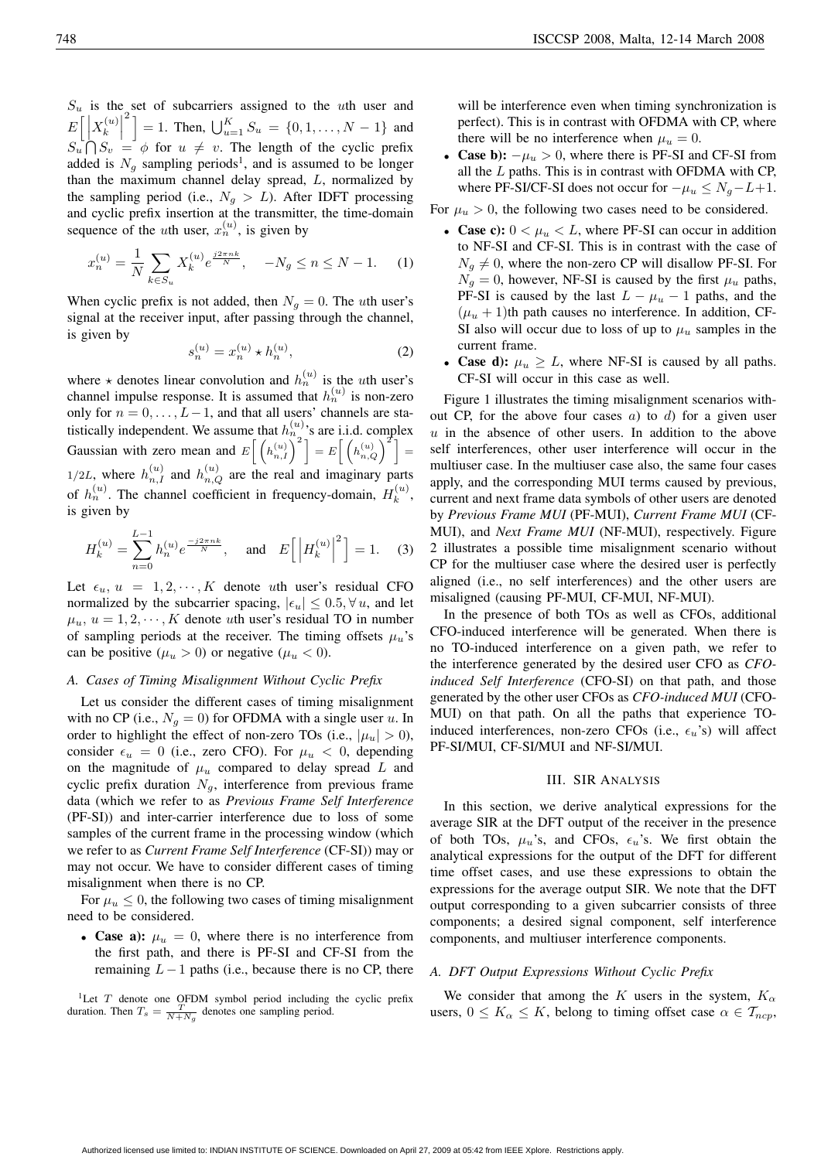$S_u$  is the set of subcarriers assigned to the uth user and  $E\left[\left|X_k^{(u)}\right.\right]$  $\left[\int_{0}^{2} \right] = 1$ . Then,  $\bigcup_{u=1}^{K} S_u = \{0, 1, ..., N-1\}$  and  $S_u \cap S_v = \phi$  for  $u \neq v$ . The length of the cyclic prefix added is  $N_g$  sampling periods<sup>1</sup>, and is assumed to be longer than the maximum channel delay spread, L, normalized by the sampling period (i.e.,  $N_g > L$ ). After IDFT processing and cyclic prefix insertion at the transmitter, the time-domain sequence of the *u*th user,  $x_n^{(u)}$ , is given by

$$
x_n^{(u)} = \frac{1}{N} \sum_{k \in S_u} X_k^{(u)} e^{\frac{j2\pi nk}{N}}, \quad -N_g \le n \le N - 1. \tag{1}
$$

When cyclic prefix is not added, then  $N_g = 0$ . The uth user's signal at the receiver input, after passing through the channel, is given by

$$
s_n^{(u)} = x_n^{(u)} \star h_n^{(u)},
$$
 (2)

where  $\star$  denotes linear convolution and  $h_n^{(u)}$  is the uth user's channel impulse response. It is assumed that  $h_n^{(u)}$  is non-zero only for  $n = 0, \ldots, L-1$ , and that all users' channels are statistically independent. We assume that  $h_n^{(u)}$ 's are i.i.d. complex Gaussian with zero mean and  $E\left[\left(h_{n,1}^{(u)}\right)^2\right] = E\left[\left(h_{n,Q}^{(u)}\right)^2\right] =$  $1/2L$ , where  $h_{n,I}^{(u)}$  and  $h_{n,Q}^{(u)}$  are the real and imaginary parts of  $h_n^{(u)}$ . The channel coefficient in frequency-domain,  $H_k^{(u)}$ , is given by

$$
H_k^{(u)} = \sum_{n=0}^{L-1} h_n^{(u)} e^{\frac{-j2\pi nk}{N}}, \text{ and } E\left[ \left| H_k^{(u)} \right|^2 \right] = 1. \quad (3)
$$

Let  $\epsilon_u$ ,  $u = 1, 2, \dots, K$  denote *uth* user's residual CFO normalized by the subcarrier spacing,  $|\epsilon_u| \leq 0.5, \forall u$ , and let  $\mu_u$ ,  $u = 1, 2, \dots, K$  denote *uth* user's residual TO in number of sampling periods at the receiver. The timing offsets  $\mu_u$ 's can be positive ( $\mu_u > 0$ ) or negative ( $\mu_u < 0$ ).

# *A. Cases of Timing Misalignment Without Cyclic Prefix*

Let us consider the different cases of timing misalignment with no CP (i.e.,  $N_g = 0$ ) for OFDMA with a single user u. In order to highlight the effect of non-zero TOs (i.e.,  $|\mu_u| > 0$ ), consider  $\epsilon_u = 0$  (i.e., zero CFO). For  $\mu_u < 0$ , depending on the magnitude of  $\mu_u$  compared to delay spread L and cyclic prefix duration  $N_g$ , interference from previous frame data (which we refer to as *Previous Frame Self Interference* (PF-SI)) and inter-carrier interference due to loss of some samples of the current frame in the processing window (which we refer to as *Current Frame Self Interference* (CF-SI)) may or may not occur. We have to consider different cases of timing misalignment when there is no CP.

For  $\mu_u \leq 0$ , the following two cases of timing misalignment need to be considered.

• **Case a):**  $\mu_u = 0$ , where there is no interference from the first path, and there is PF-SI and CF-SI from the remaining  $L-1$  paths (i.e., because there is no CP, there

<sup>1</sup>Let T denote one OFDM symbol period including the cyclic prefix duration. Then  $T_s = \frac{T}{N + N_g}$  denotes one sampling period.

will be interference even when timing synchronization is perfect). This is in contrast with OFDMA with CP, where there will be no interference when  $\mu_u = 0$ .

• **Case b):**  $-\mu_u > 0$ , where there is PF-SI and CF-SI from all the  $L$  paths. This is in contrast with OFDMA with CP, where PF-SI/CF-SI does not occur for  $-\mu_u \leq N_q - L + 1$ .

For  $\mu_u > 0$ , the following two cases need to be considered.

- **Case c):**  $0 < \mu_u < L$ , where PF-SI can occur in addition to NF-SI and CF-SI. This is in contrast with the case of  $N_g \neq 0$ , where the non-zero CP will disallow PF-SI. For  $N_q = 0$ , however, NF-SI is caused by the first  $\mu_u$  paths, PF-SI is caused by the last  $L - \mu_u - 1$  paths, and the  $(\mu_u + 1)$ th path causes no interference. In addition, CF-SI also will occur due to loss of up to  $\mu$ <sub>u</sub> samples in the current frame.
- **Case d):**  $\mu_u \geq L$ , where NF-SI is caused by all paths. CF-SI will occur in this case as well.

Figure 1 illustrates the timing misalignment scenarios without CP, for the above four cases  $a$ ) to  $d$ ) for a given user  $u$  in the absence of other users. In addition to the above self interferences, other user interference will occur in the multiuser case. In the multiuser case also, the same four cases apply, and the corresponding MUI terms caused by previous, current and next frame data symbols of other users are denoted by *Previous Frame MUI* (PF-MUI), *Current Frame MUI* (CF-MUI), and *Next Frame MUI* (NF-MUI), respectively. Figure 2 illustrates a possible time misalignment scenario without CP for the multiuser case where the desired user is perfectly aligned (i.e., no self interferences) and the other users are misaligned (causing PF-MUI, CF-MUI, NF-MUI).

In the presence of both TOs as well as CFOs, additional CFO-induced interference will be generated. When there is no TO-induced interference on a given path, we refer to the interference generated by the desired user CFO as *CFOinduced Self Interference* (CFO-SI) on that path, and those generated by the other user CFOs as *CFO-induced MUI* (CFO-MUI) on that path. On all the paths that experience TOinduced interferences, non-zero CFOs (i.e.,  $\epsilon_u$ 's) will affect PF-SI/MUI, CF-SI/MUI and NF-SI/MUI.

## III. SIR ANALYSIS

In this section, we derive analytical expressions for the average SIR at the DFT output of the receiver in the presence of both TOs,  $\mu_u$ 's, and CFOs,  $\epsilon_u$ 's. We first obtain the analytical expressions for the output of the DFT for different time offset cases, and use these expressions to obtain the expressions for the average output SIR. We note that the DFT output corresponding to a given subcarrier consists of three components; a desired signal component, self interference components, and multiuser interference components.

## *A. DFT Output Expressions Without Cyclic Prefix*

We consider that among the K users in the system,  $K_{\alpha}$ users,  $0 \leq K_{\alpha} \leq K$ , belong to timing offset case  $\alpha \in \mathcal{T}_{ncp}$ ,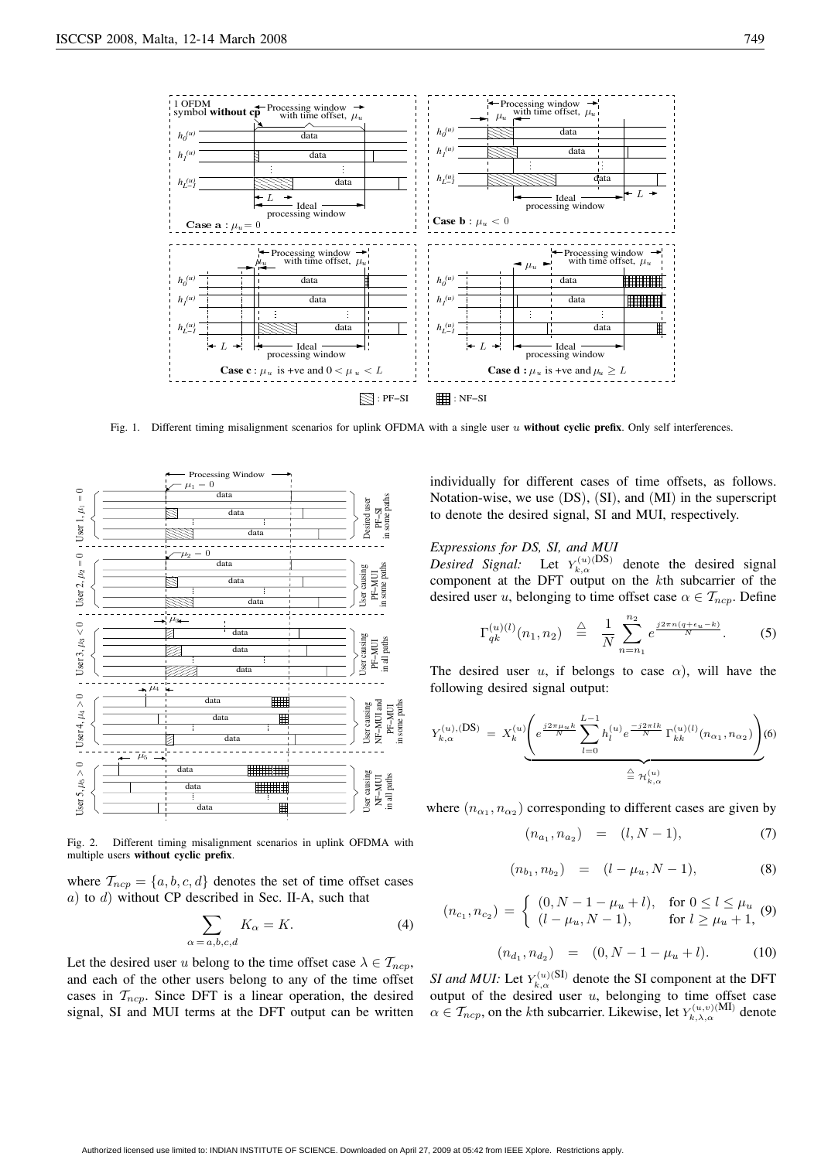

Fig. 1. Different timing misalignment scenarios for uplink OFDMA with a single user u **without cyclic prefix**. Only self interferences.



Fig. 2. Different timing misalignment scenarios in uplink OFDMA with multiple users **without cyclic prefix**.

where  $\mathcal{T}_{ncp} = \{a, b, c, d\}$  denotes the set of time offset cases a) to d) without CP described in Sec. II-A, such that

 $\alpha$ 

$$
\sum_{a,b,c,d} K_{\alpha} = K. \tag{4}
$$

Let the desired user u belong to the time offset case  $\lambda \in \mathcal{T}_{ncp}$ , and each of the other users belong to any of the time offset cases in  $T_{ncp}$ . Since DFT is a linear operation, the desired signal, SI and MUI terms at the DFT output can be written individually for different cases of time offsets, as follows. Notation-wise, we use (DS), (SI), and (MI) in the superscript to denote the desired signal, SI and MUI, respectively.

## *Expressions for DS, SI, and MUI*

*Desired Signal:* Let  $Y_{k,\alpha}^{(u)(DS)}$  denote the desired signal component at the DFT output on the  $k$ th subcarrier of the desired user u, belonging to time offset case  $\alpha \in \mathcal{T}_{ncp}$ . Define

$$
\Gamma_{qk}^{(u)(l)}(n_1, n_2) \stackrel{\triangle}{=} \frac{1}{N} \sum_{n=n_1}^{n_2} e^{\frac{j2\pi n (q + \epsilon_u - k)}{N}}.
$$
 (5)

The desired user u, if belongs to case  $\alpha$ ), will have the following desired signal output:

$$
Y_{k,\alpha}^{(u),(\text{DS})} = X_k^{(u)} \underbrace{\left(e^{\frac{j2\pi\mu_u k}{N}} \sum_{l=0}^{L-1} h_l^{(u)} e^{\frac{-j2\pi l k}{N}} \Gamma_{kk}^{(u)(l)}(n_{\alpha_1}, n_{\alpha_2})\right)}_{\triangleq \mathcal{H}_{k,\alpha}^{(u)}}
$$
(6)

where  $(n_{\alpha_1}, n_{\alpha_2})$  corresponding to different cases are given by

$$
(n_{a_1}, n_{a_2}) = (l, N - 1), \tag{7}
$$

$$
(n_{b_1}, n_{b_2}) = (l - \mu_u, N - 1), \tag{8}
$$

$$
(n_{c_1}, n_{c_2}) = \begin{cases} (0, N - 1 - \mu_u + l), & \text{for } 0 \le l \le \mu_u \\ (l - \mu_u, N - 1), & \text{for } l \ge \mu_u + 1, \end{cases}
$$
 (9)

$$
(n_{d_1}, n_{d_2}) = (0, N - 1 - \mu_u + l). \tag{10}
$$

*SI and MUI:* Let  $Y_{k,\alpha}^{(u)}$  (SI) denote the SI component at the DFT output of the desired user  $u$ , belonging to time offset case  $\alpha \in \mathcal{T}_{ncp}$ , on the kth subcarrier. Likewise, let  $Y_{k,\lambda,\alpha}^{(u,v)(\text{MI})}$  denote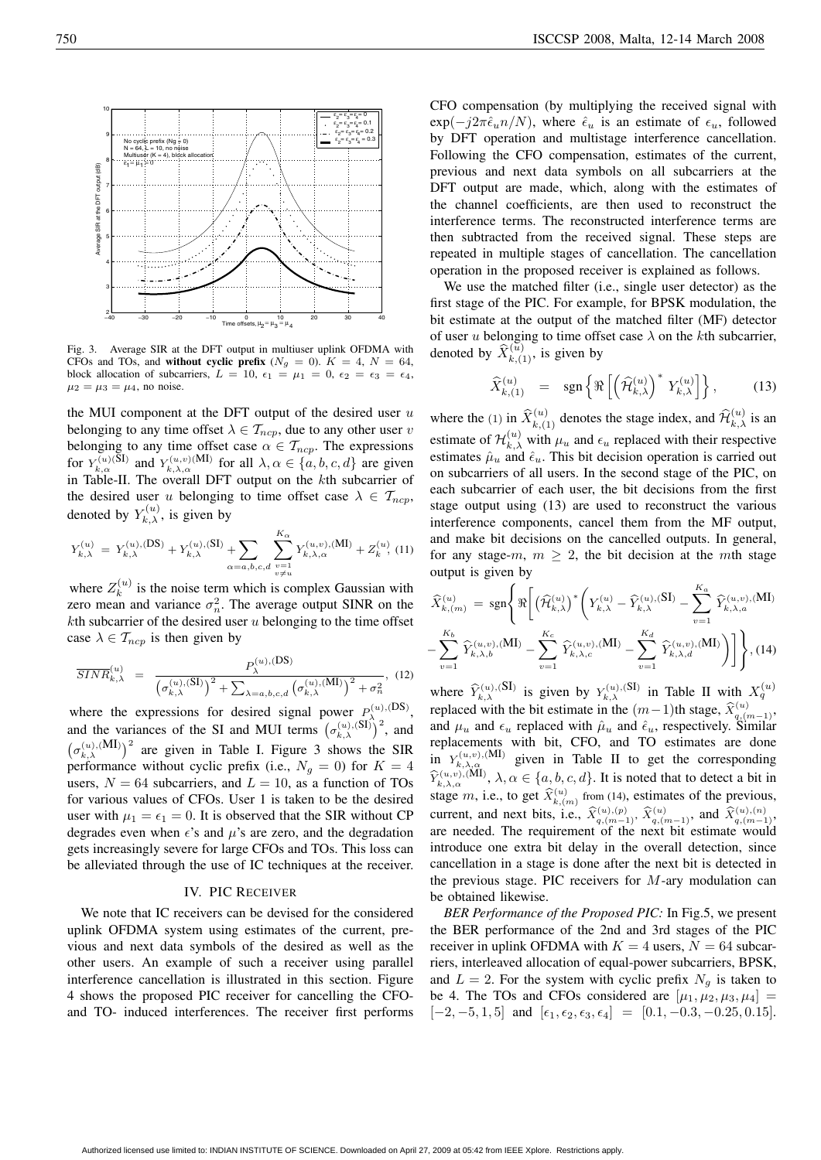

the MUI component at the DFT output of the desired user  $u$ belonging to any time offset  $\lambda \in \mathcal{T}_{ncp}$ , due to any other user v belonging to any time offset case  $\alpha \in \mathcal{T}_{ncp}$ . The expressions for  $Y_{k,\alpha}^{(u)(\text{SI})}$  and  $Y_{k,\lambda,\alpha}^{(u,v)(\text{MI})}$  for all  $\lambda,\alpha \in \{a,b,c,d\}$  are given in Table-II. The overall DFT output on the  $k$ th subcarrier of the desired user u belonging to time offset case  $\lambda \in \mathcal{T}_{ncp}$ , denoted by  $Y_{k,\lambda}^{(u)}$ , is given by

$$
Y_{k,\lambda}^{(u)} = Y_{k,\lambda}^{(u),(DS)} + Y_{k,\lambda}^{(u),(SI)} + \sum_{\alpha = a,b,c,d} \sum_{\substack{v=1 \ v \neq u}}^{K_{\alpha}} Y_{k,\lambda,\alpha}^{(u,v),(MI)} + Z_k^{(u)} , (11)
$$

where  $Z_k^{(u)}$  is the noise term which is complex Gaussian with zero mean and variance  $\sigma_n^2$ . The average output SINR on the  $k$ th subcarrier of the desired user u belonging to the time offset case  $\lambda \in \mathcal{T}_{ncp}$  is then given by

$$
\overline{SINR}_{k,\lambda}^{(u)} = \frac{P_{\lambda}^{(u),(DS)}}{\left(\sigma_{k,\lambda}^{(u),(SI)}\right)^2 + \sum_{\lambda=a,b,c,d} \left(\sigma_{k,\lambda}^{(u),(MI)}\right)^2 + \sigma_n^2}, \quad (12)
$$

where the expressions for desired signal power  $P_{\lambda_0}^{(u),(DS)}$ , and the variances of the SI and MUI terms  $(\sigma_{k,\lambda}^{(u),(SI)})^2$ , and  $(\sigma_{k,\lambda}^{(u),\text{(MI)}})^2$  are given in Table I. Figure 3 shows the SIR performance without cyclic prefix (i.e.,  $N_q = 0$ ) for  $K = 4$ users,  $N = 64$  subcarriers, and  $L = 10$ , as a function of TOs for various values of CFOs. User 1 is taken to be the desired user with  $\mu_1 = \epsilon_1 = 0$ . It is observed that the SIR without CP degrades even when  $\epsilon$ 's and  $\mu$ 's are zero, and the degradation gets increasingly severe for large CFOs and TOs. This loss can be alleviated through the use of IC techniques at the receiver.

#### IV. PIC RECEIVER

We note that IC receivers can be devised for the considered uplink OFDMA system using estimates of the current, previous and next data symbols of the desired as well as the other users. An example of such a receiver using parallel interference cancellation is illustrated in this section. Figure 4 shows the proposed PIC receiver for cancelling the CFOand TO- induced interferences. The receiver first performs CFO compensation (by multiplying the received signal with  $\exp(-j2\pi \hat{\epsilon}_u n/N)$ , where  $\hat{\epsilon}_u$  is an estimate of  $\epsilon_u$ , followed by DFT operation and multistage interference cancellation. Following the CFO compensation, estimates of the current, previous and next data symbols on all subcarriers at the DFT output are made, which, along with the estimates of the channel coefficients, are then used to reconstruct the interference terms. The reconstructed interference terms are then subtracted from the received signal. These steps are repeated in multiple stages of cancellation. The cancellation operation in the proposed receiver is explained as follows.

We use the matched filter (i.e., single user detector) as the first stage of the PIC. For example, for BPSK modulation, the bit estimate at the output of the matched filter (MF) detector of user u belonging to time offset case  $\lambda$  on the kth subcarrier, denoted by  $\widehat{X}_{k,(1)}^{(\widetilde{u})}$ , is given by

$$
\widehat{X}_{k,(1)}^{(u)} = \operatorname{sgn}\left\{\Re\left[\left(\widehat{\mathcal{H}}_{k,\lambda}^{(u)}\right)^* Y_{k,\lambda}^{(u)}\right]\right\},\tag{13}
$$

where the (1) in  $\widehat{X}_{k,(1)}^{(u)}$  denotes the stage index, and  $\widehat{\mathcal{H}}_{k,\lambda}^{(u)}$  is an estimate of  $\mathcal{H}_{k,\lambda}^{(u)}$  with  $\mu_u$  and  $\epsilon_u$  replaced with their respective estimates  $\hat{\mu}_u$  and  $\hat{\epsilon}_u$ . This bit decision operation is carried out on subcarriers of all users. In the second stage of the PIC, on each subcarrier of each user, the bit decisions from the first stage output using (13) are used to reconstruct the various interference components, cancel them from the MF output, and make bit decisions on the cancelled outputs. In general, for any stage-m,  $m \geq 2$ , the bit decision at the mth stage output is given by

$$
\widehat{X}_{k,(m)}^{(u)} = \operatorname{sgn}\left\{\Re\left[\left(\widehat{\mathcal{H}}_{k,\lambda}^{(u)}\right)^{*}\left(Y_{k,\lambda}^{(u)} - \widehat{Y}_{k,\lambda}^{(u),(\text{SI})} - \sum_{v=1}^{K_a} \widehat{Y}_{k,\lambda,a}^{(u,v),(\text{MI})}\right) - \sum_{v=1}^{K_b} \widehat{Y}_{k,\lambda,b}^{(u,v),(\text{MI})} - \sum_{v=1}^{K_c} \widehat{Y}_{k,\lambda,c}^{(u,v),(\text{MI})} - \sum_{v=1}^{K_d} \widehat{Y}_{k,\lambda,d}^{(u,v),(\text{MI})}\right)\right\}, (14)
$$

where  $\widehat{Y}_{k,\lambda}^{(u),\text{(SI)}}$  is given by  $Y_{k,\lambda}^{(u),\text{(SI)}}$  in Table II with  $X_q^{(u)}$ replaced with the bit estimate in the  $(m-1)$ th stage,  $\hat{X}_{q,(m-1)}^{(u)}$ , and  $\mu_u$  and  $\epsilon_u$  replaced with  $\hat{\mu}_u$  and  $\hat{\epsilon}_u$ , respectively. Similar replacements with bit, CFO, and TO estimates are done in  $Y_{k,\lambda,\alpha}^{(u,v),(M1)}$  given in Table II to get the corresponding  $\widehat{Y}_{k,\lambda,\alpha}^{(u,v),\text{(MI)}}, \lambda, \alpha \in \{a, b, c, d\}.$  It is noted that to detect a bit in stage m, i.e., to get  $\widehat{X}_{k,(m)}^{(u)}$  from (14), estimates of the previous, current, and next bits, i.e.,  $\hat{X}_{q,(m-1)}^{(u),(p)}, \hat{X}_{q,(m-1)}^{(u)}$ , and  $\hat{X}_{q,(m-1)}^{(u),(n)}$ , are needed. The requirement of the next bit estimate would introduce one extra bit delay in the overall detection, since cancellation in a stage is done after the next bit is detected in the previous stage. PIC receivers for  $M$ -ary modulation can be obtained likewise.

*BER Performance of the Proposed PIC:* In Fig.5, we present the BER performance of the 2nd and 3rd stages of the PIC receiver in uplink OFDMA with  $K = 4$  users,  $N = 64$  subcarriers, interleaved allocation of equal-power subcarriers, BPSK, and  $L = 2$ . For the system with cyclic prefix  $N<sub>q</sub>$  is taken to be 4. The TOs and CFOs considered are  $[\mu_1, \mu_2, \mu_3, \mu_4]$  =  $[-2, -5, 1, 5]$  and  $[\epsilon_1, \epsilon_2, \epsilon_3, \epsilon_4] = [0.1, -0.3, -0.25, 0.15].$ 

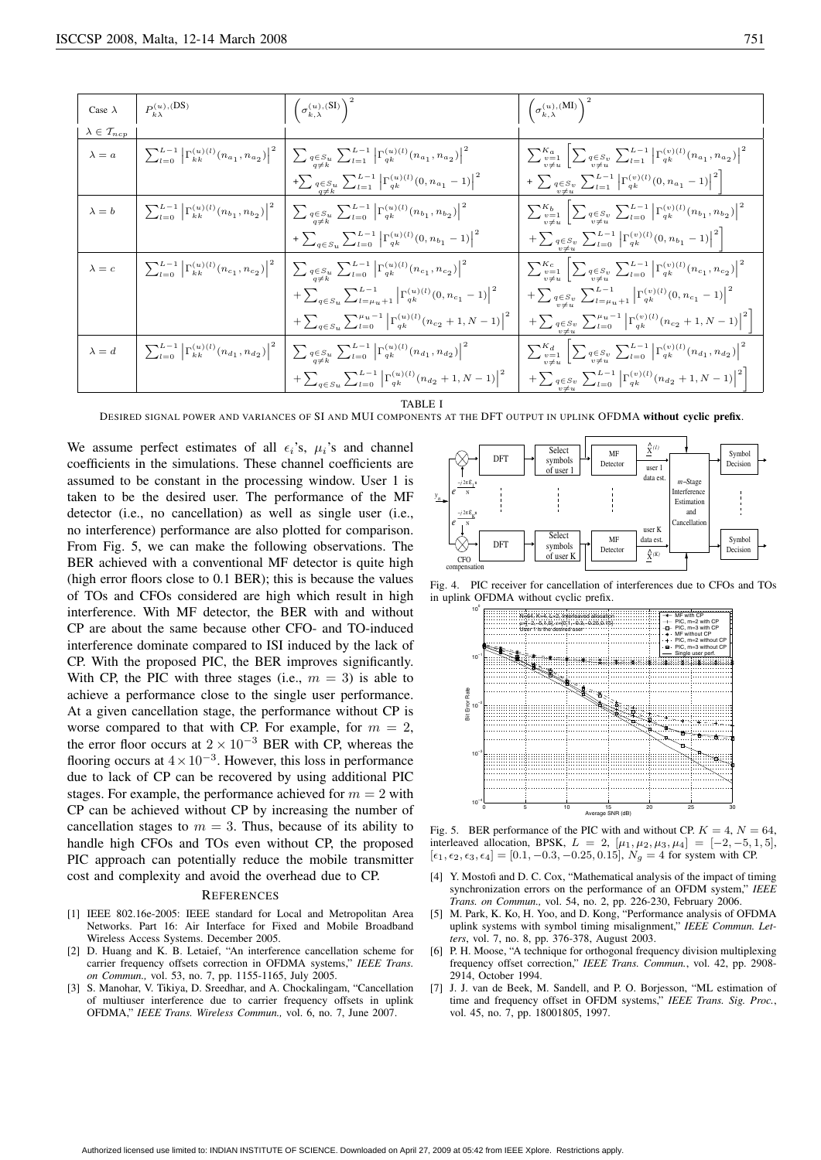| Case $\lambda$                  | $P_{k\lambda}^{(u),(DS)}$ | $\left(\sigma_{k,\lambda}^{(u),\rm{(SI)}}\right)^2$                                                                                                                                                                                | $\left(\sigma_{k,\lambda}^{(u),\mathrm{(MI)}}\right)^{2}$                                                                                          |
|---------------------------------|---------------------------|------------------------------------------------------------------------------------------------------------------------------------------------------------------------------------------------------------------------------------|----------------------------------------------------------------------------------------------------------------------------------------------------|
| $\lambda \in \mathcal{T}_{ncp}$ |                           |                                                                                                                                                                                                                                    |                                                                                                                                                    |
| $\lambda = a$                   |                           | $\left \sum_{l=0}^{L-1}\left \Gamma^{(u)(l)}_{kk}(n_{a_1},n_{a_2})\right ^2\right \sum_{q\in S_u}\sum_{k=1}^{L-1}\left \Gamma^{(u)(l)}_{qk}(n_{a_1},n_{a_2})\right ^2$                                                             | $\sum_{v=1}^{K_a} \left  \sum_{q \in S_v} q_{v} \sum_{l=1}^{L-1} \left  \Gamma_{qk}^{(v)(l)}(n_{a_1}, n_{a_2}) \right ^2 \right $                  |
|                                 |                           | $+ \sum\nolimits_{\substack{q \in S_u \\ q \neq k}} \sum\nolimits_{l = 1}^{L - 1} \Big  \Gamma^{(u)(l)}_{qk} (0, n_{a_1} - 1) \Big ^2$                                                                                             | $+ \sum_{\substack{q \in S_v \\ v \neq u}} \sum_{L=1}^{L-1} \left  \Gamma_{qk}^{(v)(l)}(0, n_{a_1} - 1) \right ^2 \right $                         |
|                                 |                           | $\lambda = b \qquad \bigg  \sum_{l=0}^{L-1} \left  \Gamma_{kk}^{(u)(l)}(n_{b_1}, n_{b_2}) \right ^2 \quad \bigg  \sum_{\substack{q \in S_u \\ q \neq k}} \sum_{l=0}^{L-1} \left  \Gamma_{qk}^{(u)(l)}(n_{b_1}, n_{b_2}) \right ^2$ | $\sum_{v=1}^{K_b} \left  \sum_{q \in S_v \atop v \neq w} \sum_{l=0}^{L-1} \left  \Gamma_{qk}^{(v)(l)}(n_{b_1}, n_{b_2}) \right ^2 \right $         |
|                                 |                           | $+\sum_{q\in S_u}\sum_{l=0}^{L-1} \left \Gamma_{qk}^{(u)(l)}(0,n_{b_1}-1)\right ^2$                                                                                                                                                | $+\sum_{\substack{q \in S_v \\ v \neq u}} \sum_{L=0}^{L-1} \left  \Gamma_{qk}^{(v)(l)}(0, n_{b_1} - 1) \right ^2$                                  |
|                                 |                           | $\lambda = c \qquad \bigg  \sum_{l=0}^{L-1} \left  \Gamma_{kk}^{(u)(l)}(n_{c_1}, n_{c_2}) \right ^2 \quad \bigg  \sum_{l=0}^{L-1} \sum_{l=0}^{L-1} \left  \Gamma_{qk}^{(u)(l)}(n_{c_1}, n_{c_2}) \right ^2$                        | $\sum_{v=1}^{K_c} \left  \sum_{q \in S_v} \sum_{l=0}^{L-1} \left  \Gamma_{qk}^{(v)(l)}(n_{c_1}, n_{c_2}) \right ^2 \right $                        |
|                                 |                           | $+\sum_{q\in S_u}\sum_{l=\mu_u+1}^{L-1}\left \Gamma_{qk}^{(u)(l)}(0,n_{c_1}-1)\right ^2$                                                                                                                                           | $+ \sum\nolimits_{\substack{q \in S_{v} \\ v \neq u}} \sum\nolimits_{l = \mu_{u} + 1}^{L - 1} \left \Gamma _{qk}^{(v)(l)}(0,n_{c_1} - 1)\right ^2$ |
|                                 |                           | $+\sum_{q\in S_u}\sum_{l=0}^{\mu_u-1} \left \Gamma_{qk}^{(u)(l)}(n_{c_2}+1,N-1)\right ^2$                                                                                                                                          | $\left. + \sum_{\substack{q \in S_v \\ v \neq u}} \sum_{L=0}^{\mu_u - 1} \left  \Gamma_{qk}^{(v)(l)}(n_{c_2} + 1, N - 1) \right ^2 \right]$        |
|                                 |                           | $\lambda = d \quad \bigg  \sum_{l=0}^{L-1} \left  \Gamma_{kk}^{(u)(l)}(n_{d_1}, n_{d_2}) \right ^2 \quad \bigg  \sum_{q \in S_u} \sum_{l=0}^{L-1} \left  \Gamma_{qk}^{(u)(l)}(n_{d_1}, n_{d_2}) \right ^2$                         | $\sum_{v=1}^{K_d} \left  \sum_{q \in S_v} \sum_{l=0}^{L-1} \left  \Gamma_{qk}^{(v)(l)}(n_{d_1}, n_{d_2}) \right ^2 \right $                        |
|                                 |                           | $+\sum_{a\in S_u}\sum_{l=0}^{L-1} \left \Gamma_{qk}^{(u)(l)}(n_{d_2}+1,N-1)\right ^2$                                                                                                                                              | $\left.+\sum_{\substack{q\in S_v\\v\neq u}}\sum_{L=0}^{L-1}\left \Gamma_{qk}^{(v)(l)}(n_{d_2}+1,N-1)\right ^2\right]$                              |

TARI E I

DESIRED SIGNAL POWER AND VARIANCES OF SI AND MUI COMPONENTS AT THE DFT OUTPUT IN UPLINK OFDMA **without cyclic prefix**.

We assume perfect estimates of all  $\epsilon_i$ 's,  $\mu_i$ 's and channel coefficients in the simulations. These channel coefficients are assumed to be constant in the processing window. User 1 is taken to be the desired user. The performance of the MF detector (i.e., no cancellation) as well as single user (i.e., no interference) performance are also plotted for comparison. From Fig. 5, we can make the following observations. The BER achieved with a conventional MF detector is quite high (high error floors close to 0.1 BER); this is because the values of TOs and CFOs considered are high which result in high interference. With MF detector, the BER with and without CP are about the same because other CFO- and TO-induced interference dominate compared to ISI induced by the lack of CP. With the proposed PIC, the BER improves significantly. With CP, the PIC with three stages (i.e.,  $m = 3$ ) is able to achieve a performance close to the single user performance. At a given cancellation stage, the performance without CP is worse compared to that with CP. For example, for  $m = 2$ , the error floor occurs at  $2 \times 10^{-3}$  BER with CP, whereas the flooring occurs at  $4 \times 10^{-3}$ . However, this loss in performance due to lack of CP can be recovered by using additional PIC stages. For example, the performance achieved for  $m = 2$  with CP can be achieved without CP by increasing the number of cancellation stages to  $m = 3$ . Thus, because of its ability to handle high CFOs and TOs even without CP, the proposed PIC approach can potentially reduce the mobile transmitter cost and complexity and avoid the overhead due to CP.

# **REFERENCES**

- [1] IEEE 802.16e-2005: IEEE standard for Local and Metropolitan Area Networks. Part 16: Air Interface for Fixed and Mobile Broadband Wireless Access Systems. December 2005.
- [2] D. Huang and K. B. Letaief, "An interference cancellation scheme for carrier frequency offsets correction in OFDMA systems," *IEEE Trans*. *on Commun.,* vol. 53, no. 7, pp. 1155-1165, July 2005.
- [3] S. Manohar, V. Tikiya, D. Sreedhar, and A. Chockalingam, "Cancellation of multiuser interference due to carrier frequency offsets in uplink OFDMA," *IEEE Trans. Wireless Commun.,* vol. 6, no. 7, June 2007.



Fig. 4. PIC receiver for cancellation of interferences due to CFOs and TOs in uplink OFDMA without cyclic prefix.



Fig. 5. BER performance of the PIC with and without CP.  $K = 4$ ,  $N = 64$ , interleaved allocation, BPSK,  $L = 2$ ,  $[\mu_1, \mu_2, \mu_3, \mu_4] = [-2, -5, 1, 5]$ ,  $[\epsilon_1, \epsilon_2, \epsilon_3, \epsilon_4] = [0.1, -0.3, -0.25, 0.15], N_g = 4$  for system with CP.

- [4] Y. Mostofi and D. C. Cox, "Mathematical analysis of the impact of timing synchronization errors on the performance of an OFDM system," *IEEE Trans. on Commun.,* vol. 54, no. 2, pp. 226-230, February 2006.
- [5] M. Park, K. Ko, H. Yoo, and D. Kong, "Performance analysis of OFDMA uplink systems with symbol timing misalignment," *IEEE Commun. Letters*, vol. 7, no. 8, pp. 376-378, August 2003.
- [6] P. H. Moose, "A technique for orthogonal frequency division multiplexing frequency offset correction," *IEEE Trans. Commun.*, vol. 42, pp. 2908- 2914, October 1994.
- [7] J. J. van de Beek, M. Sandell, and P. O. Borjesson, "ML estimation of time and frequency offset in OFDM systems," *IEEE Trans. Sig. Proc.*, vol. 45, no. 7, pp. 18001805, 1997.